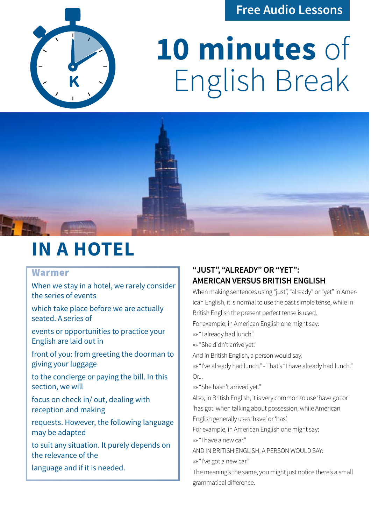### **Free Audio Lessons**



# **10 minutes** of English Break



## **IN A HOTEL**

#### Warmer

When we stay in a hotel, we rarely consider the series of events

which take place before we are actually seated. A series of

events or opportunities to practice your English are laid out in

front of you: from greeting the doorman to giving your luggage

to the concierge or paying the bill. In this section, we will

focus on check in/ out, dealing with reception and making

requests. However, the following language may be adapted

to suit any situation. It purely depends on the relevance of the

language and if it is needed.

#### **"JUST", "ALREADY" OR "YET": AMERICAN VERSUS BRITISH ENGLISH**

When making sentences using "just", "already" or "yet" in American English, it is normal to use the past simple tense, while in British English the present perfect tense is used.

For example, in American English one might say:

»» "I already had lunch."

»» "She didn't arrive yet."

And in British English, a person would say:

»» "I've already had lunch." - That's "I have already had lunch."  $Or.$ ...

»» "She hasn't arrived yet."

Also, in British English, it is very common to use 'have got'or 'has got' when talking about possession, while American English generally uses 'have' or 'has'.

For example, in American English one might say:

»» "I have a new car."

AND IN BRITISH ENGLISH, A PERSON WOULD SAY:

»» "I've got a new car."

The meaning's the same, you might just notice there's a small grammatical difference.